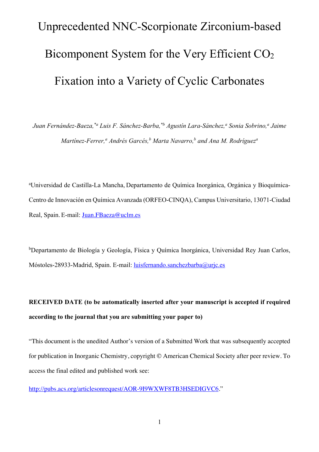## Unprecedented NNC-Scorpionate Zirconium-based Bicomponent System for the Very Efficient CO2 Fixation into a Variety of Cyclic Carbonates

*Juan Fernández-Baeza,*\*<sup>*a*</sup> *Luis F. Sánchez-Barba,*\*<sup>*b*</sup> *Agustín Lara-Sánchez,<sup><i>a*</sup> Sonia Sobrino,<sup>*a*</sup> Jaime *Martínez-Ferrer,a Andrés Garcés,b Marta Navarro,b and Ana M. Rodrígueza*

a Universidad de Castilla-La Mancha, Departamento de Química Inorgánica, Orgánica y Bioquímica-Centro de Innovación en Química Avanzada (ORFEO-CINQA), Campus Universitario, 13071-Ciudad Real, Spain. E-mail: Juan.FBaeza@uclm.es

b Departamento de Biología y Geología, Física y Química Inorgánica, Universidad Rey Juan Carlos, Móstoles-28933-Madrid, Spain. E-mail: luisfernando.sanchezbarba@urjc.es

**RECEIVED DATE (to be automatically inserted after your manuscript is accepted if required according to the journal that you are submitting your paper to)**

"This document is the unedited Author's version of a Submitted Work that was subsequently accepted for publication in Inorganic Chemistry, copyright © American Chemical Society after peer review. To access the final edited and published work see:

http://pubs.acs.org/articlesonrequest/AOR-9I9WXWF8TB3HSEDIGVC6."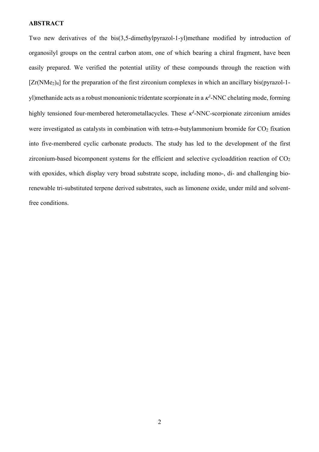#### **ABSTRACT**

Two new derivatives of the bis(3,5-dimethylpyrazol-1-yl)methane modified by introduction of organosilyl groups on the central carbon atom, one of which bearing a chiral fragment, have been easily prepared. We verified the potential utility of these compounds through the reaction with  $[Zr(NMe<sub>2</sub>)<sub>4</sub>]$  for the preparation of the first zirconium complexes in which an ancillary bis(pyrazol-1yl)methanide acts as a robust monoanionic tridentate scorpionate in a  $\kappa^3$ -NNC chelating mode, forming highly tensioned four-membered heterometallacycles. These  $\kappa^3$ -NNC-scorpionate zirconium amides were investigated as catalysts in combination with tetra-*n*-butylammonium bromide for  $CO<sub>2</sub>$  fixation into five‐membered cyclic carbonate products. The study has led to the development of the first zirconium-based bicomponent systems for the efficient and selective cycloaddition reaction of  $CO<sub>2</sub>$ with epoxides, which display very broad substrate scope, including mono-, di- and challenging biorenewable tri-substituted terpene derived substrates, such as limonene oxide, under mild and solventfree conditions.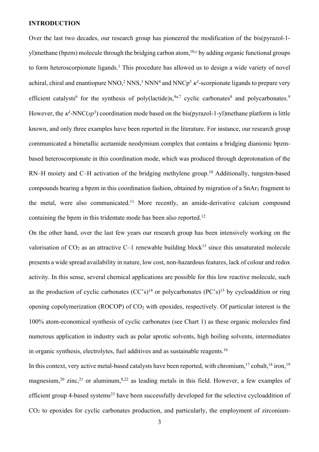#### **INTRODUCTION**

Over the last two decades, our research group has pioneered the modification of the bis(pyrazol-1 yl)methane (bpzm) molecule through the bridging carbon atom, <sup>1b,c</sup> by adding organic functional groups to form heteroscorpionate ligands.<sup>1</sup> This procedure has allowed us to design a wide variety of novel achiral, chiral and enantiopure NNO,<sup>2</sup> NNS,<sup>3</sup> NNN<sup>4</sup> and NNCp<sup>5</sup>  $\kappa$ <sup>3</sup>-scorpionate ligands to prepare very efficient catalysts<sup>6</sup> for the synthesis of poly(lactide)s,  $4a$ , evelic carbonates<sup>8</sup> and polycarbonates.<sup>9</sup> However, the  $\kappa^3$ -NNC( $sp^3$ ) coordination mode based on the bis(pyrazol-1-yl)methane platform is little known, and only three examples have been reported in the literature. For instance, our research group communicated a bimetallic acetamide neodymium complex that contains a bridging dianionic bpzmbased heteroscorpionate in this coordination mode, which was produced through deprotonation of the RN–H moiety and C–H activation of the bridging methylene group.<sup>10</sup> Additionally, tungsten-based compounds bearing a bpzm in this coordination fashion, obtained by migration of a SnAr3 fragment to the metal, were also communicated.<sup>11</sup> More recently, an amide-derivative calcium compound containing the bpzm in this tridentate mode has been also reported.<sup>12</sup>

On the other hand, over the last few years our research group has been intensively working on the valorisation of  $CO_2$  as an attractive C–1 renewable building block<sup>13</sup> since this unsaturated molecule presents a wide spread availability in nature, low cost, non-hazardous features, lack of colour and redox activity. In this sense, several chemical applications are possible for this low reactive molecule, such as the production of cyclic carbonates  $(CC's)^{14}$  or polycarbonates  $(PC's)^{15}$  by cycloaddition or ring opening copolymerization (ROCOP) of CO2 with epoxides, respectively. Of particular interest is the 100% atom‐economical synthesis of cyclic carbonates (see Chart 1) as these organic molecules find numerous application in industry such as polar aprotic solvents, high boiling solvents, intermediates in organic synthesis, electrolytes, fuel additives and as sustainable reagents. 16

In this context, very active metal-based catalysts have been reported, with chromium,<sup>17</sup> cobalt,<sup>18</sup> iron,<sup>19</sup> magnesium,<sup>20</sup> zinc,<sup>21</sup> or aluminum,<sup>8,22</sup> as leading metals in this field. However, a few examples of efficient group 4-based systems<sup>23</sup> have been successfully developed for the selective cycloaddition of CO2 to epoxides for cyclic carbonates production, and particularly, the employment of zirconium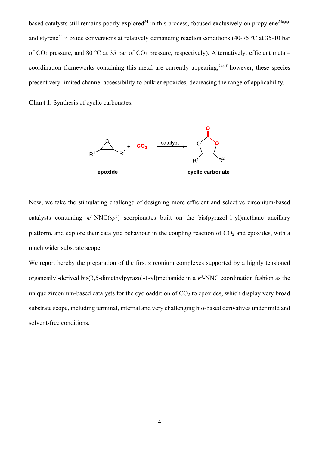based catalysts still remains poorly explored<sup>24</sup> in this process, focused exclusively on propylene<sup>24a,c,d</sup> and styrene<sup>24a,c</sup> oxide conversions at relatively demanding reaction conditions (40-75 °C at 35-10 bar of  $CO_2$  pressure, and 80 °C at 35 bar of  $CO_2$  pressure, respectively). Alternatively, efficient metal– coordination frameworks containing this metal are currently appearing,  $24e, f$  however, these species present very limited channel accessibility to bulkier epoxides, decreasing the range of applicability.

**Chart 1.** Synthesis of cyclic carbonates.



Now, we take the stimulating challenge of designing more efficient and selective zirconium-based catalysts containing  $\kappa^3$ -NNC(sp<sup>3</sup>) scorpionates built on the bis(pyrazol-1-yl)methane ancillary platform, and explore their catalytic behaviour in the coupling reaction of  $CO<sub>2</sub>$  and epoxides, with a much wider substrate scope.

We report hereby the preparation of the first zirconium complexes supported by a highly tensioned organosilyl-derived bis(3,5-dimethylpyrazol-1-yl)methanide in a  $\kappa^3$ -NNC coordination fashion as the unique zirconium-based catalysts for the cycloaddition of  $CO<sub>2</sub>$  to epoxides, which display very broad substrate scope, including terminal, internal and very challenging bio‐based derivatives under mild and solvent-free conditions.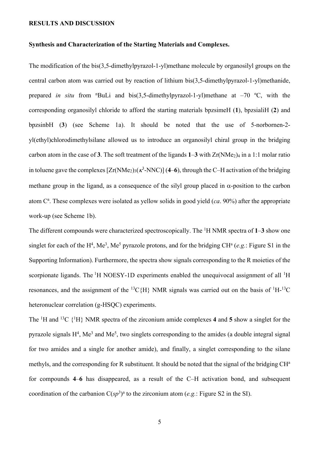#### **RESULTS AND DISCUSSION**

#### **Synthesis and Characterization of the Starting Materials and Complexes.**

The modification of the bis(3,5-dimethylpyrazol-1-yl)methane molecule by organosilyl groups on the central carbon atom was carried out by reaction of lithium bis(3,5-dimethylpyrazol-1-yl)methanide, prepared *in situ* from "BuLi and bis(3,5-dimethylpyrazol-1-yl)methane at  $-70$  °C, with the corresponding organosilyl chloride to afford the starting materials bpzsimeH (**1**), bpzsialiH (**2**) and bpzsinbH (**3**) (see Scheme 1a). It should be noted that the use of 5-norbornen-2 yl(ethyl)chlorodimethylsilane allowed us to introduce an organosilyl chiral group in the bridging carbon atom in the case of 3. The soft treatment of the ligands  $1-3$  with  $Zr(NMe<sub>2</sub>)<sub>4</sub>$  in a 1:1 molar ratio in toluene gave the complexes  $[Zr(NMe_2)_3(\kappa^3-NNC)]$  (4–6), through the C–H activation of the bridging methane group in the ligand, as a consequence of the silyl group placed in  $\alpha$ -position to the carbon atom C<sup>a</sup>. These complexes were isolated as yellow solids in good yield (*ca*. 90%) after the appropriate work-up (see Scheme 1b).

The different compounds were characterized spectroscopically. The 1 H NMR spectra of **1**–**3** show one singlet for each of the H<sup>4</sup>, Me<sup>3</sup>, Me<sup>5</sup> pyrazole protons, and for the bridging CH<sup>a</sup> (e.g.: Figure S1 in the Supporting Information). Furthermore, the spectra show signals corresponding to the R moieties of the scorpionate ligands. The  ${}^{1}H$  NOESY-1D experiments enabled the unequivocal assignment of all  ${}^{1}H$ resonances, and the assignment of the  ${}^{13}C\{H\}$  NMR signals was carried out on the basis of  ${}^{1}H-{}^{13}C$ heteronuclear correlation (g-HSQC) experiments.

The <sup>1</sup>H and <sup>13</sup>C  $\{^1H\}$  NMR spectra of the zirconium amide complexes 4 and 5 show a singlet for the pyrazole signals  $H<sup>4</sup>$ , Me<sup>3</sup> and Me<sup>5</sup>, two singlets corresponding to the amides (a double integral signal for two amides and a single for another amide), and finally, a singlet corresponding to the silane methyls, and the corresponding for R substituent. It should be noted that the signal of the bridging CH<sup>a</sup> for compounds **4**–**6** has disappeared, as a result of the C–H activation bond, and subsequent coordination of the carbanion  $C(sp^3)^a$  to the zirconium atom (*e.g.*: Figure S2 in the SI).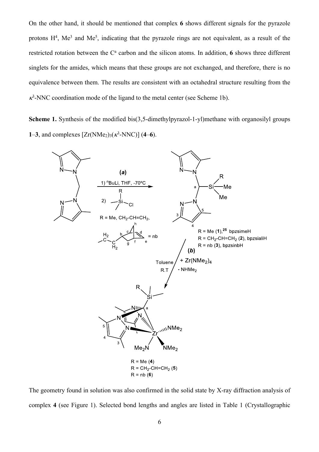On the other hand, it should be mentioned that complex **6** shows different signals for the pyrazole protons  $H^4$ , Me<sup>3</sup> and Me<sup>5</sup>, indicating that the pyrazole rings are not equivalent, as a result of the restricted rotation between the  $C^a$  carbon and the silicon atoms. In addition, 6 shows three different singlets for the amides, which means that these groups are not exchanged, and therefore, there is no equivalence between them. The results are consistent with an octahedral structure resulting from the  $\kappa^3$ -NNC coordination mode of the ligand to the metal center (see Scheme 1b).

**Scheme 1.** Synthesis of the modified bis(3,5-dimethylpyrazol-1-yl)methane with organosilyl groups **1–3**, and complexes  $[Zr(NMe_2)_3(\kappa^3-NNC)]$  (**4–6**).



The geometry found in solution was also confirmed in the solid state by X-ray diffraction analysis of complex **4** (see Figure 1). Selected bond lengths and angles are listed in Table 1 (Crystallographic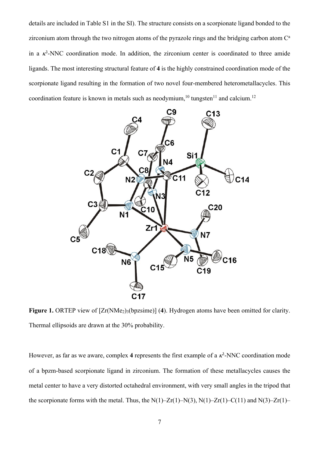details are included in Table S1 in the SI). The structure consists on a scorpionate ligand bonded to the zirconium atom through the two nitrogen atoms of the pyrazole rings and the bridging carbon atom  $C^a$ in a  $\kappa^3$ -NNC coordination mode. In addition, the zirconium center is coordinated to three amide ligands. The most interesting structural feature of **4** is the highly constrained coordination mode of the scorpionate ligand resulting in the formation of two novel four-membered heterometallacycles. This coordination feature is known in metals such as neodymium,<sup>10</sup> tungsten<sup>11</sup> and calcium.<sup>12</sup>



**Figure 1.** ORTEP view of  $[Zr(NMe_2)_3(bpzsime)]$  (4). Hydrogen atoms have been omitted for clarity. Thermal ellipsoids are drawn at the 30% probability.

However, as far as we aware, complex 4 represents the first example of a  $\kappa^3$ -NNC coordination mode of a bpzm-based scorpionate ligand in zirconium. The formation of these metallacycles causes the metal center to have a very distorted octahedral environment, with very small angles in the tripod that the scorpionate forms with the metal. Thus, the  $N(1)$ – $Zr(1)$ – $N(3)$ ,  $N(1)$ – $Zr(1)$ – $C(11)$  and  $N(3)$ – $Zr(1)$ –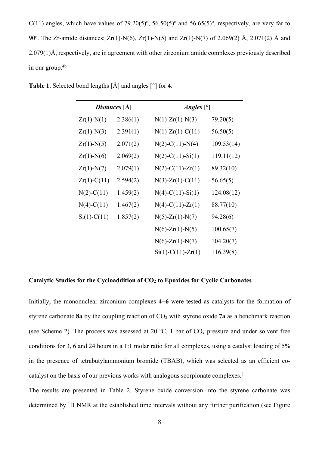$C(11)$  angles, which have values of 79.20(5)<sup>o</sup>, 56.50(5)<sup>o</sup> and 56.65(5)<sup>o</sup>, respectively, are very far to 90°. The Zr-amide distances;  $Zr(1)$ -N(6),  $Zr(1)$ -N(5) and  $Zr(1)$ -N(7) of 2.069(2) Å, 2.071(2) Å and 2.079(1)Å, respectively, are in agreement with other zirconium amide complexes previously described in our group.4b

| Distances [Å] |          | <i>Angles</i> $[°]$        |            |  |  |
|---------------|----------|----------------------------|------------|--|--|
| $Zr(1)$ -N(1) | 2.386(1) | $N(1)$ - $Zr(1)$ - $N(3)$  | 79.20(5)   |  |  |
| $Zr(1)-N(3)$  | 2.391(1) | $N(1)$ - $Zr(1)$ - $C(11)$ | 56.50(5)   |  |  |
| $Zr(1)-N(5)$  | 2.071(2) | $N(2)$ -C(11)-N(4)         | 109.53(14) |  |  |
| $Zr(1)-N(6)$  | 2.069(2) | $N(2)$ -C(11)-Si(1)        | 119.11(12) |  |  |
| $Zr(1)-N(7)$  | 2.079(1) | $N(2)$ -C(11)-Zr(1)        | 89.32(10)  |  |  |
| $Zr(1)-C(11)$ | 2.594(2) | $N(3)$ -Zr(1)-C(11)        | 56.65(5)   |  |  |
| $N(2)-C(11)$  | 1.459(2) | $N(4)-C(11)-Si(1)$         | 124.08(12) |  |  |
| $N(4)-C(11)$  | 1.467(2) | $N(4)-C(11)-Zr(1)$         | 88.77(10)  |  |  |
| $Si(1)-C(11)$ | 1.857(2) | $N(5)$ -Zr(1)- $N(7)$      | 94.28(6)   |  |  |
|               |          | $N(6)$ -Zr(1)- $N(5)$      | 100.65(7)  |  |  |
|               |          | $N(6)$ -Zr(1)- $N(7)$      | 104.20(7)  |  |  |
|               |          | $Si(1) - C(11) - Zr(1)$    | 116.39(8)  |  |  |

**Table 1.** Selected bond lengths [Å] and angles [°] for **4**.

#### **Catalytic Studies for the Cycloaddition of CO2 to Epoxides for Cyclic Carbonates**

Initially, the mononuclear zirconium complexes **4**−**6** were tested as catalysts for the formation of styrene carbonate 8a by the coupling reaction of  $CO<sub>2</sub>$  with styrene oxide 7a as a benchmark reaction (see Scheme 2). The process was assessed at 20  $\textdegree$ C, 1 bar of CO<sub>2</sub> pressure and under solvent free conditions for 3, 6 and 24 hours in a 1:1 molar ratio for all complexes, using a catalyst loading of 5% in the presence of tetrabutylammonium bromide (TBAB), which was selected as an efficient cocatalyst on the basis of our previous works with analogous scorpionate complexes.8

The results are presented in Table 2. Styrene oxide conversion into the styrene carbonate was determined by <sup>1</sup>H NMR at the established time intervals without any further purification (see Figure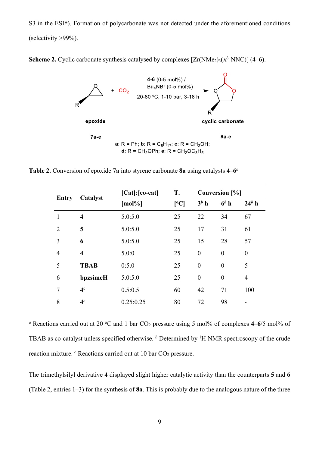S3 in the ESI†). Formation of polycarbonate was not detected under the aforementioned conditions (selectivity >99%).

**Scheme 2.** Cyclic carbonate synthesis catalysed by complexes  $[Zr(NMe_2)_3(\kappa^3-NNC)]$  (4–6).



**Table 2.** Conversion of epoxide **7a** into styrene carbonate **8a** using catalysts **4**–**6***<sup>a</sup>*

| Entry          | Catalyst                | $[Cat]:[co-cat]$ | T.   | Conversion [%]   |                  |                  |
|----------------|-------------------------|------------------|------|------------------|------------------|------------------|
|                |                         | $[mol\%]$        | [°C] | $3^b$ h          | $6b$ h           | $24b$ h          |
| 1              | $\overline{\mathbf{4}}$ | 5.0:5.0          | 25   | 22               | 34               | 67               |
| 2              | 5                       | 5.0:5.0          | 25   | 17               | 31               | 61               |
| 3              | 6                       | 5.0:5.0          | 25   | 15               | 28               | 57               |
| $\overline{4}$ | $\overline{\mathbf{4}}$ | 5.0:0            | 25   | $\boldsymbol{0}$ | $\boldsymbol{0}$ | $\boldsymbol{0}$ |
| 5              | <b>TBAB</b>             | 0:5.0            | 25   | $\overline{0}$   | $\boldsymbol{0}$ | 5                |
| 6              | bpzsimeH                | 5.0:5.0          | 25   | $\boldsymbol{0}$ | $\boldsymbol{0}$ | $\overline{4}$   |
| 7              | 4 <sup>c</sup>          | 0.5:0.5          | 60   | 42               | 71               | 100              |
| 8              | 4 <sup>c</sup>          | 0.25:0.25        | 80   | 72               | 98               |                  |

*a* Reactions carried out at 20 °C and 1 bar CO<sub>2</sub> pressure using 5 mol% of complexes 4–6/5 mol% of TBAB as co-catalyst unless specified otherwise. <sup>*b*</sup> Determined by <sup>1</sup>H NMR spectroscopy of the crude reaction mixture. <sup>*c*</sup> Reactions carried out at 10 bar CO<sub>2</sub> pressure.

The trimethylsilyl derivative **4** displayed slight higher catalytic activity than the counterparts **5** and **6** (Table 2, entries 1–3) for the synthesis of **8a**. This is probably due to the analogous nature of the three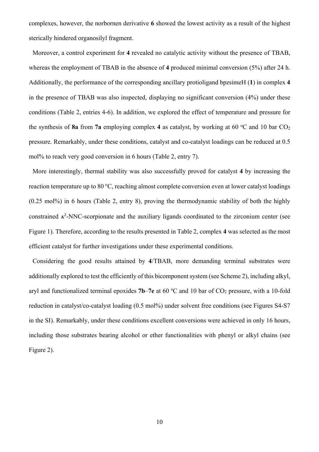complexes, however, the norbornen derivative **6** showed the lowest activity as a result of the highest sterically hindered organosilyl fragment.

Moreover, a control experiment for **4** revealed no catalytic activity without the presence of TBAB, whereas the employment of TBAB in the absence of **4** produced minimal conversion (5%) after 24 h. Additionally, the performance of the corresponding ancillary protioligand bpzsimeH (**1**) in complex **4** in the presence of TBAB was also inspected, displaying no significant conversion (4%) under these conditions (Table 2, entries 4-6). In addition, we explored the effect of temperature and pressure for the synthesis of 8a from 7a employing complex 4 as catalyst, by working at 60 °C and 10 bar CO<sub>2</sub> pressure. Remarkably, under these conditions, catalyst and co-catalyst loadings can be reduced at 0.5 mol% to reach very good conversion in 6 hours (Table 2, entry 7).

More interestingly, thermal stability was also successfully proved for catalyst **4** by increasing the reaction temperature up to 80 °C, reaching almost complete conversion even at lower catalyst loadings (0.25 mol%) in 6 hours (Table 2, entry 8), proving the thermodynamic stability of both the highly constrained  $\kappa^3$ -NNC-scorpionate and the auxiliary ligands coordinated to the zirconium center (see Figure 1). Therefore, according to the results presented in Table 2, complex **4** was selected as the most efficient catalyst for further investigations under these experimental conditions.

Considering the good results attained by **4**/TBAB, more demanding terminal substrates were additionally explored to test the efficiently of this bicomponent system (see Scheme 2), including alkyl, aryl and functionalized terminal epoxides 7b–7e at 60 °C and 10 bar of CO<sub>2</sub> pressure, with a 10-fold reduction in catalyst/co-catalyst loading (0.5 mol%) under solvent free conditions (see Figures S4-S7 in the SI). Remarkably, under these conditions excellent conversions were achieved in only 16 hours, including those substrates bearing alcohol or ether functionalities with phenyl or alkyl chains (see Figure 2).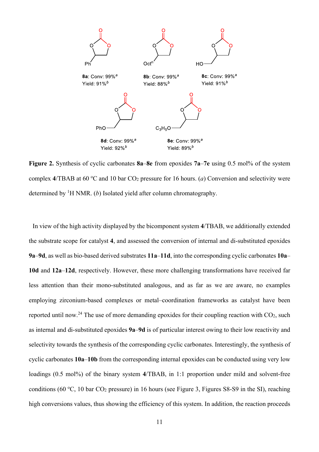

**Figure 2.** Synthesis of cyclic carbonates **8a**–**8e** from epoxides **7a**–**7e** using 0.5 mol% of the system complex  $4/TBAB$  at  $60 °C$  and  $10 bar CO<sub>2</sub>$  pressure for 16 hours. (*a*) Conversion and selectivity were determined by 1 H NMR. (*b*) Isolated yield after column chromatography.

In view of the high activity displayed by the bicomponent system **4**/TBAB, we additionally extended the substrate scope for catalyst **4**, and assessed the conversion of internal and di-substituted epoxides **9a**–**9d**, as well as bio-based derived substrates **11a**–**11d**, into the corresponding cyclic carbonates **10a**– **10d** and **12a**–**12d**, respectively. However, these more challenging transformations have received far less attention than their mono-substituted analogous, and as far as we are aware, no examples employing zirconium-based complexes or metal–coordination frameworks as catalyst have been reported until now.<sup>24</sup> The use of more demanding epoxides for their coupling reaction with  $CO<sub>2</sub>$ , such as internal and di-substituted epoxides **9a**–**9d** is of particular interest owing to their low reactivity and selectivity towards the synthesis of the corresponding cyclic carbonates. Interestingly, the synthesis of cyclic carbonates **10a**–**10b** from the corresponding internal epoxides can be conducted using very low loadings (0.5 mol%) of the binary system 4/TBAB, in 1:1 proportion under mild and solvent-free conditions (60 °C, 10 bar  $CO_2$  pressure) in 16 hours (see Figure 3, Figures S8-S9 in the SI), reaching high conversions values, thus showing the efficiency of this system. In addition, the reaction proceeds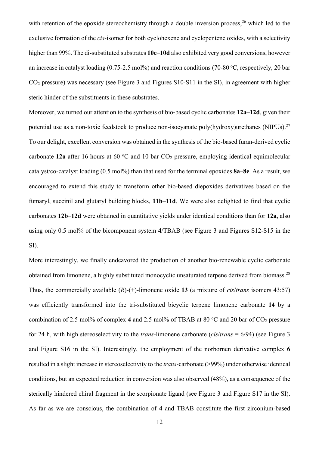with retention of the epoxide stereochemistry through a double inversion process,  $26$  which led to the exclusive formation of the *cis*-isomer for both cyclohexene and cyclopentene oxides, with a selectivity higher than 99%. The di-substituted substrates **10c**–**10d** also exhibited very good conversions, however an increase in catalyst loading (0.75-2.5 mol%) and reaction conditions (70-80 °C, respectively, 20 bar CO2 pressure) was necessary (see Figure 3 and Figures S10-S11 in the SI), in agreement with higher steric hinder of the substituents in these substrates.

Moreover, we turned our attention to the synthesis of bio-based cyclic carbonates **12a**–**12d**, given their potential use as a non-toxic feedstock to produce non-isocyanate poly(hydroxy)urethanes (NIPUs).27 To our delight, excellent conversion was obtained in the synthesis of the bio-based furan-derived cyclic carbonate 12a after 16 hours at 60 °C and 10 bar CO<sub>2</sub> pressure, employing identical equimolecular catalyst/co-catalyst loading (0.5 mol%) than that used for the terminal epoxides **8a**–**8e**. As a result, we encouraged to extend this study to transform other bio-based diepoxides derivatives based on the fumaryl, succinil and glutaryl building blocks, **11b**–**11d**. We were also delighted to find that cyclic carbonates **12b**–**12d** were obtained in quantitative yields under identical conditions than for **12a**, also using only 0.5 mol% of the bicomponent system **4**/TBAB (see Figure 3 and Figures S12-S15 in the SI).

More interestingly, we finally endeavored the production of another bio-renewable cyclic carbonate obtained from limonene, a highly substituted monocyclic unsaturated terpene derived from biomass.28 Thus, the commercially available (*R*)-(+)-limonene oxide **13** (a mixture of *cis*/*trans* isomers 43:57) was efficiently transformed into the tri-substituted bicyclic terpene limonene carbonate **14** by a combination of 2.5 mol% of complex 4 and 2.5 mol% of TBAB at 80 °C and 20 bar of CO<sub>2</sub> pressure for 24 h, with high stereoselectivity to the *trans*-limonene carbonate (*cis*/*trans* = 6/94) (see Figure 3 and Figure S16 in the SI). Interestingly, the employment of the norbornen derivative complex **6** resulted in a slight increase in stereoselectivity to the *trans*-carbonate (>99%) under otherwise identical conditions, but an expected reduction in conversion was also observed (48%), as a consequence of the sterically hindered chiral fragment in the scorpionate ligand (see Figure 3 and Figure S17 in the SI). As far as we are conscious, the combination of **4** and TBAB constitute the first zirconium-based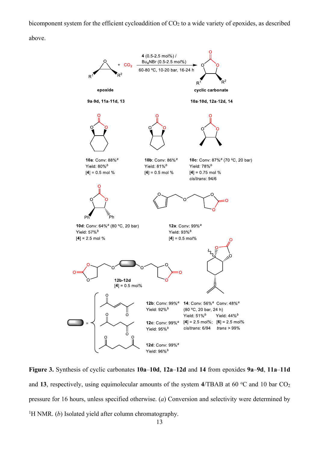bicomponent system for the efficient cycloaddition of  $CO<sub>2</sub>$  to a wide variety of epoxides, as described

above.



**Figure 3.** Synthesis of cyclic carbonates **10a**–**10d**, **12a**–**12d** and **14** from epoxides **9a**–**9d**, **11a**–**11d** and 13, respectively, using equimolecular amounts of the system 4/TBAB at 60 °C and 10 bar CO<sub>2</sub> pressure for 16 hours, unless specified otherwise. (*a*) Conversion and selectivity were determined by <sup>1</sup>H NMR. (b) Isolated yield after column chromatography.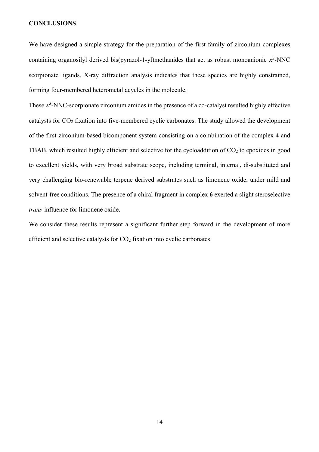#### **CONCLUSIONS**

We have designed a simple strategy for the preparation of the first family of zirconium complexes containing organosilyl derived bis(pyrazol-1-yl)methanides that act as robust monoanionic  $\kappa^3$ -NNC scorpionate ligands. X-ray diffraction analysis indicates that these species are highly constrained, forming four-membered heterometallacycles in the molecule.

These  $\kappa^3$ -NNC-scorpionate zirconium amides in the presence of a co-catalyst resulted highly effective catalysts for  $CO<sub>2</sub>$  fixation into five-membered cyclic carbonates. The study allowed the development of the first zirconium-based bicomponent system consisting on a combination of the complex **4** and TBAB, which resulted highly efficient and selective for the cycloaddition of  $CO<sub>2</sub>$  to epoxides in good to excellent yields, with very broad substrate scope, including terminal, internal, di-substituted and very challenging bio-renewable terpene derived substrates such as limonene oxide, under mild and solvent-free conditions. The presence of a chiral fragment in complex **6** exerted a slight steroselective *trans*-influence for limonene oxide.

We consider these results represent a significant further step forward in the development of more efficient and selective catalysts for  $CO<sub>2</sub>$  fixation into cyclic carbonates.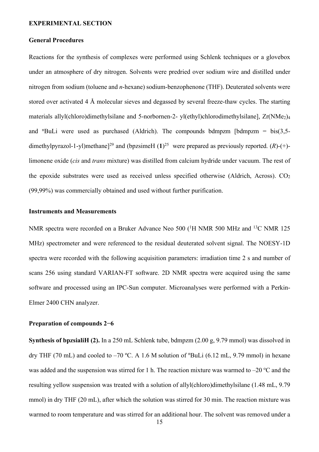#### **EXPERIMENTAL SECTION**

#### **General Procedures**

Reactions for the synthesis of complexes were performed using Schlenk techniques or a glovebox under an atmosphere of dry nitrogen. Solvents were predried over sodium wire and distilled under nitrogen from sodium (toluene and *n*-hexane) sodium-benzophenone (THF). Deuterated solvents were stored over activated 4 Å molecular sieves and degassed by several freeze-thaw cycles. The starting materials allyl(chloro)dimethylsilane and 5-norbornen-2- yl(ethyl)chlorodimethylsilane],  $Zr(NMe<sub>2</sub>)<sub>4</sub>$ and "BuLi were used as purchased (Aldrich). The compounds bdmpzm [bdmpzm = bis(3,5dimethylpyrazol-1-yl)methane]29 and (bpzsimeH (**1**) <sup>25</sup> were prepared as previously reported. (*R*)-(+) limonene oxide (*cis* and *trans* mixture) was distilled from calcium hydride under vacuum. The rest of the epoxide substrates were used as received unless specified otherwise (Aldrich, Across).  $CO<sub>2</sub>$ (99,99%) was commercially obtained and used without further purification.

#### **Instruments and Measurements**

NMR spectra were recorded on a Bruker Advance Neo 500 (<sup>1</sup>H NMR 500 MHz and <sup>13</sup>C NMR 125 MHz) spectrometer and were referenced to the residual deuterated solvent signal. The NOESY-1D spectra were recorded with the following acquisition parameters: irradiation time 2 s and number of scans 256 using standard VARIAN-FT software. 2D NMR spectra were acquired using the same software and processed using an IPC-Sun computer. Microanalyses were performed with a Perkin-Elmer 2400 CHN analyzer.

#### **Preparation of compounds 2−6**

**Synthesis of bpzsialiH (2).** In a 250 mL Schlenk tube, bdmpzm (2.00 g, 9.79 mmol) was dissolved in dry THF (70 mL) and cooled to  $-70$  °C. A 1.6 M solution of "BuLi (6.12 mL, 9.79 mmol) in hexane was added and the suspension was stirred for 1 h. The reaction mixture was warmed to  $-20$  °C and the resulting yellow suspension was treated with a solution of allyl(chloro)dimethylsilane (1.48 mL, 9.79 mmol) in dry THF (20 mL), after which the solution was stirred for 30 min. The reaction mixture was warmed to room temperature and was stirred for an additional hour. The solvent was removed under a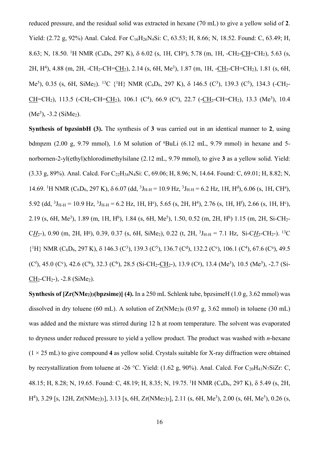reduced pressure, and the residual solid was extracted in hexane (70 mL) to give a yellow solid of **2**. Yield: (2.72 g, 92%) Anal. Calcd. For C<sub>16</sub>H<sub>26</sub>N<sub>4</sub>Si: C, 63.53; H, 8.66; N, 18.52. Found: C, 63.49; H, 8.63; N, 18.50. <sup>1</sup>H NMR (C<sub>6</sub>D<sub>6</sub>, 297 K),  $\delta$  6.02 (s, 1H, CH<sup>a</sup>), 5.78 (m, 1H, -CH<sub>2</sub>-CH=CH<sub>2</sub>), 5.63 (s, 2H, H<sup>4</sup>), 4.88 (m, 2H, -CH<sub>2</sub>-CH=CH<sub>2</sub>), 2.14 (s, 6H, Me<sup>3</sup>), 1.87 (m, 1H, -CH<sub>2</sub>-CH=CH<sub>2</sub>), 1.81 (s, 6H, Me<sup>5</sup>), 0.35 (s, 6H, SiMe<sub>2</sub>). <sup>13</sup>C {<sup>1</sup>H} NMR (C<sub>6</sub>D<sub>6</sub>, 297 K), δ 146.5 (C<sup>3</sup>), 139.3 (C<sup>5</sup>), 134.3 (-CH<sub>2</sub>- $CH=CH_2$ ), 113.5 (-CH<sub>2</sub>-CH= $CH_2$ ), 106.1 (C<sup>4</sup>), 66.9 (C<sup>a</sup>), 22.7 (-CH<sub>2</sub>-CH=CH<sub>2</sub>), 13.3 (Me<sup>3</sup>), 10.4  $(Me<sup>5</sup>)$ , -3.2 (SiMe<sub>2</sub>).

**Synthesis of bpzsinbH (3).** The synthesis of **3** was carried out in an identical manner to **2**, using bdmpzm (2.00 g, 9.79 mmol), 1.6 M solution of n BuLi (6.12 mL, 9.79 mmol) in hexane and 5 norbornen-2-yl(ethyl)chlorodimethylsilane (2.12 mL, 9.79 mmol), to give **3** as a yellow solid. Yield: (3.33 g, 89%). Anal. Calcd. For C22H34N4Si: C, 69.06; H, 8.96; N, 14.64. Found: C, 69.01; H, 8.82; N, 14.69. <sup>1</sup>H NMR (C<sub>6</sub>D<sub>6</sub>, 297 K),  $\delta$  6.07 (dd, <sup>3</sup>J<sub>H-H</sub> = 10.9 Hz, <sup>3</sup>J<sub>H-H</sub> = 6.2 Hz, 1H, H<sup>d</sup>), 6.06 (s, 1H, CH<sup>a</sup>), 5.92 (dd,  ${}^{3}J_{H-H} = 10.9$  Hz,  ${}^{3}J_{H-H} = 6.2$  Hz, 1H, H<sup>e</sup>), 5.65 (s, 2H, H<sup>4</sup>), 2.76 (s, 1H, H<sup>f</sup>), 2.66 (s, 1H, H<sup>e</sup>), 2.19 (s, 6H, Me<sup>3</sup>), 1.89 (m, 1H, H<sup>b</sup>), 1.84 (s, 6H, Me<sup>5</sup>), 1.50, 0.52 (m, 2H, H<sup>h</sup>) 1.15 (m, 2H, Si-CH<sub>2</sub>- $C_{\text{H}_2}$ -), 0.90 (m, 2H, H<sup>g</sup>), 0.39, 0.37 (s, 6H, SiMe<sub>2</sub>), 0.22 (t, 2H, <sup>3</sup>J<sub>H-H</sub> = 7.1 Hz, Si-C $_{\text{H}_2}$ -CH<sub>2</sub>-). <sup>13</sup>C {<sup>1</sup>H} NMR (C<sub>6</sub>D<sub>6</sub>, 297 K),  $\delta$  146.3 (C<sup>3</sup>), 139.3 (C<sup>5</sup>), 136.7 (C<sup>d</sup>), 132.2 (C<sup>e</sup>), 106.1 (C<sup>4</sup>), 67.6 (C<sup>a</sup>), 49.5 (C<sup>f</sup>), 45.0 (C<sup>c</sup>), 42.6 (C<sup>b</sup>), 32.3 (C<sup>h</sup>), 28.5 (Si-CH<sub>2</sub>-C<u>H</u><sub>2</sub>-), 13.9 (C<sup>g</sup>), 13.4 (Me<sup>3</sup>), 10.5 (Me<sup>5</sup>), -2.7 (Si- $CH_2-CH_2-$ ),  $-2.8$  (SiMe<sub>2</sub>).

**Synthesis of [Zr(NMe<sub>2</sub>)<sub>3</sub>(bpzsime)]** (4). In a 250 mL Schlenk tube, bpzsimeH (1.0 g, 3.62 mmol) was dissolved in dry toluene (60 mL). A solution of  $Zr(NMe<sub>2</sub>)<sub>4</sub>$  (0.97 g, 3.62 mmol) in toluene (30 mL) was added and the mixture was stirred during 12 h at room temperature. The solvent was evaporated to dryness under reduced pressure to yield a yellow product. The product was washed with *n*-hexane  $(1 \times 25 \text{ mL})$  to give compound 4 as yellow solid. Crystals suitable for X-ray diffraction were obtained by recrystallization from toluene at -26 °C. Yield: (1.62 g, 90%). Anal. Calcd. For C<sub>20</sub>H<sub>41</sub>N<sub>7</sub>SiZr: C, 48.15; H, 8.28; N, 19.65. Found: C, 48.19; H, 8.35; N, 19.75. <sup>1</sup> H NMR (C6D6, 297 K), d 5.49 (s, 2H, H<sup>4</sup>), 3.29 [s, 12H, Zr(NMe<sub>2</sub>)<sub>3</sub>], 3.13 [s, 6H, Zr(NMe<sub>2</sub>)<sub>3</sub>], 2.11 (s, 6H, Me<sup>3</sup>), 2.00 (s, 6H, Me<sup>5</sup>), 0.26 (s,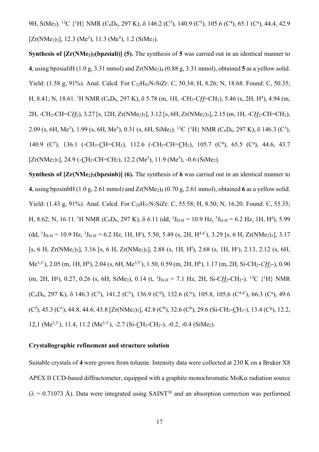9H, SiMe<sub>3</sub>). <sup>13</sup>C {<sup>1</sup>H} NMR (C<sub>6</sub>D<sub>6</sub>, 297 K), δ 146.2 (C<sup>3</sup>), 140.9 (C<sup>5</sup>), 105.6 (C<sup>4</sup>), 65.1 (C<sup>a</sup>), 44.4, 42.9  $[Zr(NMe<sub>2</sub>)<sub>3</sub>], 12.3 (Me<sup>3</sup>), 11.3 (Me<sup>5</sup>), 1.2 (SiMe<sub>3</sub>).$ 

**Synthesis of [Zr(NMe<sub>2</sub>)<sub>3</sub>(bpzsiali)]** (5). The synthesis of 5 was carried out in an identical manner to **4**, using bpzsialiH (1.0 g, 3.31 mmol) and  $Zr(NMe<sub>2</sub>)<sub>4</sub>$  (0.88 g, 3.31 mmol), obtained **5** as a yellow solid. Yield: (1.58 g, 91%). Anal. Calcd. For C<sub>22</sub>H<sub>43</sub>N<sub>7</sub>SiZr: C, 50.34; H, 8.26; N, 18.68. Found: C, 50.35; H, 8.41; N, 18.61. <sup>1</sup>H NMR (C<sub>6</sub>D<sub>6</sub>, 297 K),  $\delta$  5.78 (m, 1H, -CH<sub>2</sub>-C<u>H</u>=CH<sub>2</sub>), 5.46 (s, 2H, H<sup>4</sup>), 4.94 (m, 2H, -CH<sub>2</sub>-CH=C<u>H<sub>2</sub></u>), 3.27 [s, 12H, Zr(NMe<sub>2</sub>)<sub>3</sub>], 3.12 [s, 6H, Zr(NMe<sub>2</sub>)<sub>3</sub>], 2.15 (m, 1H, -C<u>H<sub>2</sub></u>-CH=CH<sub>2</sub>), 2.09 (s, 6H, Me<sup>3</sup>), 1.99 (s, 6H, Me<sup>5</sup>), 0.31 (s, 6H, SiMe<sub>2</sub>). <sup>13</sup>C {<sup>1</sup>H} NMR (C<sub>6</sub>D<sub>6</sub>, 297 K),  $\delta$  146.3 (C<sup>3</sup>), 140.9 (C<sup>5</sup>), 136.1 (-CH<sub>2</sub>-CH=CH<sub>2</sub>), 112.6 (-CH<sub>2</sub>-CH=CH<sub>2</sub>), 105.7 (C<sup>4</sup>), 65.5 (C<sup>a</sup>), 44.6, 43.7 [ $Zr(NMe<sub>2</sub>)<sub>3</sub>$ ], 24.9 ( $\text{-}CH<sub>2</sub>$ -CH=CH<sub>2</sub>), 12.2 (Me<sup>3</sup>), 11.9 (Me<sup>5</sup>), -0.6 (SiMe<sub>2</sub>).

**Synthesis of [Zr(NMe<sub>2</sub>)<sub>3</sub>(bpzsinb)]** (6). The synthesis of 6 was carried out in an identical manner to **4**, using bpzsinbH  $(1.0 \text{ g}, 2.61 \text{ mmol})$  and  $Zr(NMe<sub>2</sub>)<sub>4</sub> (0.70 \text{ g}, 2.61 \text{ mmol})$ , obtained **6** as a yellow solid. Yield: (1.43 g, 91%). Anal. Calcd. For C<sub>28</sub>H<sub>51</sub>N<sub>7</sub>SiZr: C, 55.58; H, 8.50; N, 16.20. Found: C, 55.35; H, 8.62; N, 16.11. <sup>1</sup>H NMR (C<sub>6</sub>D<sub>6</sub>, 297 K),  $\delta$  6.11 (dd, <sup>3</sup>J<sub>H-H</sub> = 10.9 Hz, <sup>3</sup>J<sub>H-H</sub> = 6.2 Hz, 1H, H<sup>d</sup>), 5.99  $(dd, {}^{3}J_{H-H} = 10.9 \text{ Hz}, {}^{3}J_{H-H} = 6.2 \text{ Hz}, 1H, H^{\circ}$ , 5.50, 5.49 (s, 2H,  $H^{4,4'}$ ), 3.29 [s, 6 H, Zr(NMe<sub>2</sub>)<sub>3</sub>], 3.17  $[s, 6 H, Zr(NMe<sub>2</sub>)<sub>3</sub>], 3.16 [s, 6 H, Zr(NMe<sub>2</sub>)<sub>3</sub>], 2.88 (s, 1H, H<sup>f</sup>), 2.68 (s, 1H, H<sup>c</sup>), 2.13, 2.12 (s, 6H,$ Me<sup>3,3'</sup>), 2.05 (m, 1H, H<sup>b</sup>), 2.04 (s, 6H, Me<sup>5,5'</sup>), 1.50, 0.59 (m, 2H, H<sup>h</sup>), 1.17 (m, 2H, Si-CH<sub>2</sub>-*CH*<sub>2</sub>-), 0.90  $(m, 2H, H<sup>g</sup>), 0.27, 0.26$  (s, 6H, SiMe<sub>2</sub>), 0.14 (t, <sup>3</sup>J<sub>H-H</sub> = 7.1 Hz, 2H, Si-C<u>H</u><sub>2</sub>-CH<sub>2</sub>-). <sup>13</sup>C {<sup>1</sup>H} NMR  $(C_6D_6, 297 K)$ ,  $\delta$  146.3 (C<sup>3</sup>), 141.2 (C<sup>5</sup>), 136.9 (C<sup>d</sup>), 132.6 (C<sup>e</sup>), 105.8, 105,6 (C<sup>4,4'</sup>), 66.3 (C<sup>a</sup>), 49.6  $(C<sup>f</sup>), 45.3 (C<sup>c</sup>), 44.8, 44.6, 43.8 [Zr(NMe<sub>2</sub>)<sub>3</sub>], 42.8 (C<sup>b</sup>), 32.6 (C<sup>h</sup>), 29.6 (Si-CH<sub>2</sub>-CH<sub>2</sub>), 13.4 (C<sup>g</sup>), 12.2,$ 12,1 (Me<sup>3,3'</sup>), 11.4, 11.2 (Me<sup>5,5'</sup>), -2.7 (Si-CH<sub>2</sub>-CH<sub>2</sub>-), -0.2, -0.4 (SiMe<sub>2</sub>).

## **Crystallographic refinement and structure solution**

Suitable crystals of **4** were grown from toluene. Intensity data were collected at 230 K on a Bruker X8 APEX II CCD-based diffractometer, equipped with a graphite monochromatic MoK $\alpha$  radiation source  $(\lambda = 0.71073 \text{ Å})$ . Data were integrated using SAINT<sup>30</sup> and an absorption correction was performed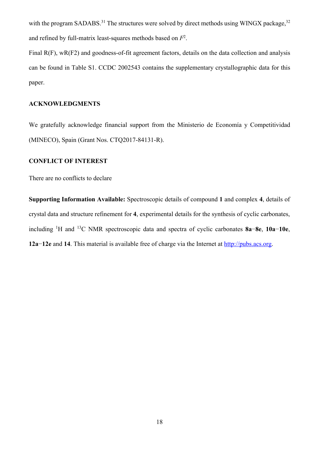with the program SADABS.<sup>31</sup> The structures were solved by direct methods using WINGX package,  $32$ and refined by full-matrix least-squares methods based on *F*<sup>2</sup> .

Final R(F), wR(F2) and goodness-of-fit agreement factors, details on the data collection and analysis can be found in Table S1. CCDC 2002543 contains the supplementary crystallographic data for this paper.

## **ACKNOWLEDGMENTS**

We gratefully acknowledge financial support from the Ministerio de Economía y Competitividad (MINECO), Spain (Grant Nos. CTQ2017-84131-R).

## **CONFLICT OF INTEREST**

There are no conflicts to declare

**Supporting Information Available:** Spectroscopic details of compound **1** and complex **4**, details of crystal data and structure refinement for **4**, experimental details for the synthesis of cyclic carbonates, including 1 H and 13C NMR spectroscopic data and spectra of cyclic carbonates **8a**−**8e**, **10a**−**10e**, **12a**−**12e** and **14**. This material is available free of charge via the Internet at http://pubs.acs.org.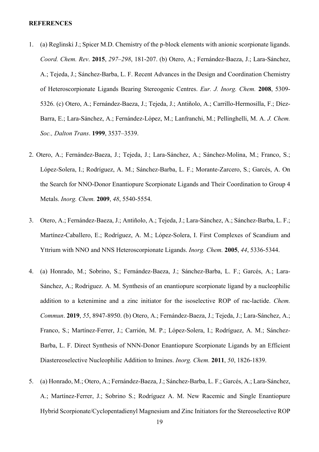#### **REFERENCES**

- 1. (a) Reglinski J.; Spicer M.D. Chemistry of the p-block elements with anionic scorpionate ligands. *Coord. Chem. Rev*. **2015**, *297–298*, 181-207. (b) Otero, A.; Fernández‐Baeza, J.; Lara‐Sánchez, A.; Tejeda, J.; Sánchez‐Barba, L. F. Recent Advances in the Design and Coordination Chemistry of Heteroscorpionate Ligands Bearing Stereogenic Centres. *Eur. J. Inorg. Chem.* **2008**, 5309- 5326. (c) Otero, A.; Fernández-Baeza, J.; Tejeda, J.; Antiñolo, A.; Carrillo-Hermosilla, F.; Díez-Barra, E.; Lara-Sánchez, A.; Fernández-López, M.; Lanfranchi, M.; Pellinghelli, M. A. *J. Chem. Soc., Dalton Trans*. **1999**, 3537–3539.
- 2. Otero, A.; Fernández-Baeza, J.; Tejeda, J.; Lara-Sánchez, A.; Sánchez-Molina, M.; Franco, S.; López-Solera, I.; Rodríguez, A. M.; Sánchez-Barba, L. F.; Morante-Zarcero, S.; Garcés, A. On the Search for NNO-Donor Enantiopure Scorpionate Ligands and Their Coordination to Group 4 Metals. *Inorg. Chem.* **2009**, *48*, 5540-5554.
- 3. Otero, A.; Fernández-Baeza, J.; Antiñolo, A.; Tejeda, J.; Lara-Sánchez, A.; Sánchez-Barba, L. F.; Martínez-Caballero, E.; Rodríguez, A. M.; López-Solera, I. First Complexes of Scandium and Yttrium with NNO and NNS Heteroscorpionate Ligands. *Inorg. Chem.* **2005**, *44*, 5336-5344.
- 4. (a) Honrado, M.; Sobrino, S.; Fernández-Baeza, J.; Sánchez-Barba, L. F.; Garcés, A.; Lara-Sánchez, A.; Rodriguez. A. M. Synthesis of an enantiopure scorpionate ligand by a nucleophilic addition to a ketenimine and a zinc initiator for the isoselective ROP of rac-lactide. *Chem. Commun*. **2019**, *55*, 8947-8950. (b) Otero, A.; Fernández-Baeza, J.; Tejeda, J.; Lara-Sánchez, A.; Franco, S.; Martínez-Ferrer, J.; Carrión, M. P.; López-Solera, I.; Rodríguez, A. M.; Sánchez-Barba, L. F. Direct Synthesis of NNN-Donor Enantiopure Scorpionate Ligands by an Efficient Diastereoselective Nucleophilic Addition to Imines. *Inorg. Chem.* **2011**, *50*, 1826-1839.
- 5. (a) Honrado, M.; Otero, A.; Fernández-Baeza, J.; Sánchez-Barba, L. F.; Garcés, A.; Lara-Sánchez, A.; Martínez-Ferrer, J.; Sobrino S.; Rodríguez A. M. New Racemic and Single Enantiopure Hybrid Scorpionate/Cyclopentadienyl Magnesium and Zinc Initiators for the Stereoselective ROP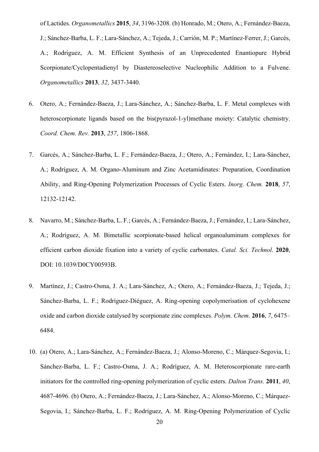of Lactides. *Organometallics* **2015**, *34*, 3196-3208. (b) Honrado, M.; Otero, A.; Fernández-Baeza, J.; Sánchez-Barba, L. F.; Lara-Sánchez, A.; Tejeda, J.; Carrión, M. P.; Martínez-Ferrer, J.; Garcés, A.; Rodríguez, A. M. Efficient Synthesis of an Unprecedented Enantiopure Hybrid Scorpionate/Cyclopentadienyl by Diastereoselective Nucleophilic Addition to a Fulvene. *Organometallics* **2013**, *32*, 3437-3440.

- 6. Otero, A.; Fernández-Baeza, J.; Lara-Sánchez, A.; Sánchez-Barba, L. F. Metal complexes with heteroscorpionate ligands based on the bis(pyrazol-1-yl)methane moiety: Catalytic chemistry. *Coord. Chem. Rev.* **2013**, *257*, 1806-1868.
- 7. Garcés, A.; Sánchez‐Barba, L. F.; Fernández‐Baeza, J.; Otero, A.; Fernández, I.; Lara‐Sánchez, A.; Rodríguez, A. M. Organo-Aluminum and Zinc Acetamidinates: Preparation, Coordination Ability, and Ring-Opening Polymerization Processes of Cyclic Esters. *Inorg. Chem.* **2018**, *57*, 12132‐12142.
- 8. Navarro, M.; Sánchez‐Barba, L. F.; Garcés, A.; Fernández‐Baeza, J.; Fernández, I.; Lara‐Sánchez, A.; Rodríguez, A. M. Bimetallic scorpionate-based helical organoaluminum complexes for efficient carbon dioxide fixation into a variety of cyclic carbonates. *Catal. Sci. Technol*. **2020**, DOI: 10.1039/D0CY00593B.
- 9. Martínez, J.; Castro‐Osma, J. A.; Lara‐Sánchez, A.; Otero, A.; Fernández‐Baeza, J.; Tejeda, J.; Sánchez‐Barba, L. F.; Rodríguez‐Diéguez, A. Ring-opening copolymerisation of cyclohexene oxide and carbon dioxide catalysed by scorpionate zinc complexes. *Polym. Chem.* **2016**, *7*, 6475– 6484.
- 10. (a) Otero, A.; Lara-Sánchez, A.; Fernández-Baeza, J.; Alonso-Moreno, C.; Márquez-Segovia, I.; Sánchez-Barba, L. F.; Castro-Osma, J. A.; Rodríguez, A. M. Heteroscorpionate rare-earth initiators for the controlled ring-opening polymerization of cyclic esters. *Dalton Trans.* **2011**, *40*, 4687-4696. (b) Otero, A.; Fernández-Baeza, J.; Lara-Sánchez, A.; Alonso-Moreno, C.; Márquez-Segovia, I.; Sánchez-Barba, L. F.; Rodríguez, A. M. Ring‐Opening Polymerization of Cyclic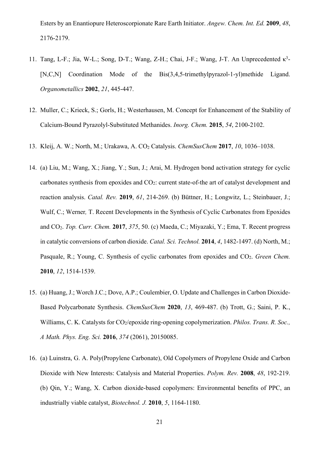Esters by an Enantiopure Heteroscorpionate Rare Earth Initiator. *Angew. Chem. Int. Ed.* **2009**, *48*, 2176-2179.

- 11. Tang, L-F.; Jia, W-L.; Song, D-T.; Wang, Z-H.; Chai, J-F.; Wang, J-T. An Unprecedented κ<sup>3</sup>-[N,C,N] Coordination Mode of the Bis(3,4,5-trimethylpyrazol-1-yl)methide Ligand. *Organometallics* **2002**, *21*, 445-447.
- 12. Muller, C.; Krieck, S.; Gorls, H.; Westerhausen, M. Concept for Enhancement of the Stability of Calcium-Bound Pyrazolyl-Substituted Methanides. *Inorg. Chem.* **2015**, *54*, 2100-2102.
- 13. Kleij, A. W.; North, M.; Urakawa, A. CO2 Catalysis. *ChemSusChem* **2017**, *10*, 1036–1038.
- 14. (a) Liu, M.; Wang, X.; Jiang, Y.; Sun, J.; Arai, M. Hydrogen bond activation strategy for cyclic carbonates synthesis from epoxides and CO<sub>2</sub>: current state-of-the art of catalyst development and reaction analysis. *Catal. Rev.* **2019**, *61*, 214-269. (b) Büttner, H.; Longwitz, L.; Steinbauer, J.; Wulf, C.; Werner*,* T. Recent Developments in the Synthesis of Cyclic Carbonates from Epoxides and CO2. *Top. Curr. Chem.* **2017**, *375*, 50. (c) Maeda, C.; Miyazaki, Y.; Ema, T. Recent progress in catalytic conversions of carbon dioxide. *Catal. Sci. Technol.* **2014**, *4*, 1482‐1497. (d) North, M.; Pasquale, R.; Young, C. Synthesis of cyclic carbonates from epoxides and CO<sub>2</sub>. *Green Chem.* **2010**, *12*, 1514-1539.
- 15. (a) Huang, J.; Worch J.C.; Dove, A.P.; Coulembier, O. Update and Challenges in Carbon Dioxide‐ Based Polycarbonate Synthesis. *ChemSusChem* **2020**, *13*, 469-487. (b) Trott, G.; Saini, P. K., Williams, C. K. Catalysts for CO<sub>2</sub>/epoxide ring-opening copolymerization. *Philos. Trans. R. Soc.*, *A Math. Phys. Eng. Sci.* **2016**, *374* (2061), 20150085.
- 16. (a) Luinstra, G. A. Poly(Propylene Carbonate), Old Copolymers of Propylene Oxide and Carbon Dioxide with New Interests: Catalysis and Material Properties. *Polym. Rev.* **2008**, *48*, 192-219. (b) Qin, Y.; Wang, X. Carbon dioxide‐based copolymers: Environmental benefits of PPC, an industrially viable catalyst, *Biotechnol. J.* **2010**, *5*, 1164-1180.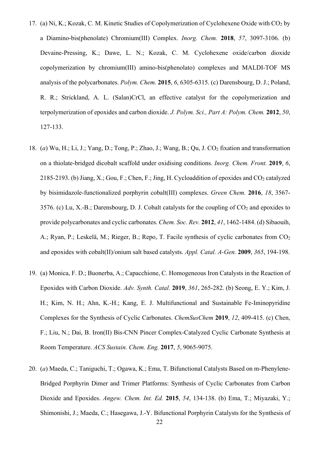- 17. (a) Ni, K.; Kozak, C. M. Kinetic Studies of Copolymerization of Cyclohexene Oxide with CO2 by a Diamino-bis(phenolate) Chromium(III) Complex. *Inorg. Chem.* **2018**, *57*, 3097-3106. (b) Devaine-Pressing, K.; Dawe, L. N.; Kozak, C. M. Cyclohexene oxide/carbon dioxide copolymerization by chromium(III) amino-bis(phenolato) complexes and MALDI-TOF MS analysis of the polycarbonates. *Polym. Chem.* **2015**, *6*, 6305-6315. (c) Darensbourg, D. J.; Poland, R. R.; Strickland, A. L. (Salan)CrCl, an effective catalyst for the copolymerization and terpolymerization of epoxides and carbon dioxide. *J. Polym. Sci., Part A: Polym. Chem.* **2012**, *50*, 127-133.
- 18. (*a*) Wu, H.; Li, J.; Yang, D.; Tong, P.; Zhao, J.; Wang, B.; Qu, J. CO<sub>2</sub> fixation and transformation on a thiolate-bridged dicobalt scaffold under oxidising conditions. *Inorg. Chem. Front.* **2019**, *6*, 2185-2193. (b) Jiang, X.; Gou, F.; Chen, F.; Jing, H. Cycloaddition of epoxides and  $CO_2$  catalyzed by bisimidazole-functionalized porphyrin cobalt(III) complexes. *Green Chem.* **2016**, *18*, 3567- 3576. (c) Lu, X.-B.; Darensbourg, D. J. Cobalt catalysts for the coupling of  $CO<sub>2</sub>$  and epoxides to provide polycarbonates and cyclic carbonates. *Chem. Soc. Rev.* **2012**, *41*, 1462-1484. (d) Sibaouih, A.; Ryan, P.; Leskelä, M.; Rieger, B.; Repo, T. Facile synthesis of cyclic carbonates from CO<sub>2</sub> and epoxides with cobalt(II)/onium salt based catalysts. *Appl. Catal. A-Gen.* **2009**, *365*, 194-198.
- 19. (a) Monica, F. D.; Buonerba, A.; Capacchione, C. Homogeneous Iron Catalysts in the Reaction of Epoxides with Carbon Dioxide. *Adv. Synth. Catal.* **2019**, *361*, 265-282. (b) Seong, E. Y.; Kim, J. H.; Kim, N. H.; Ahn, K.-H.; Kang, E. J. Multifunctional and Sustainable Fe‐Iminopyridine Complexes for the Synthesis of Cyclic Carbonates. *ChemSusChem* **2019**, *12*, 409-415. (c) Chen, F.; Liu, N.; Dai, B. Iron(II) Bis-CNN Pincer Complex-Catalyzed Cyclic Carbonate Synthesis at Room Temperature. *ACS Sustain. Chem. Eng.* **2017**, *5*, 9065-9075.
- 20. (*a*) Maeda, C.; Taniguchi, T.; Ogawa, K.; Ema, T. Bifunctional Catalysts Based on m‐Phenylene‐ Bridged Porphyrin Dimer and Trimer Platforms: Synthesis of Cyclic Carbonates from Carbon Dioxide and Epoxides. *Angew. Chem. Int. Ed.* **2015**, *54*, 134-138. (b) Ema, T.; Miyazaki, Y.; Shimonishi, J.; Maeda, C.; Hasegawa, J.-Y. Bifunctional Porphyrin Catalysts for the Synthesis of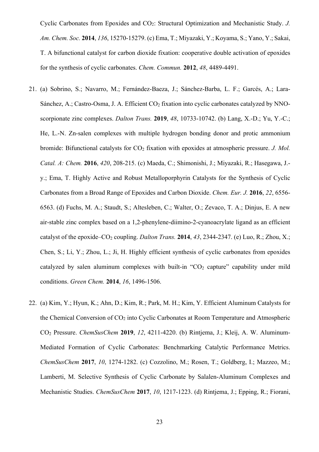Cyclic Carbonates from Epoxides and CO2: Structural Optimization and Mechanistic Study. *J. Am. Chem. Soc.* **2014**, *136*, 15270-15279. (c) Ema, T.; Miyazaki, Y.; Koyama, S.; Yano, Y.; Sakai, T. A bifunctional catalyst for carbon dioxide fixation: cooperative double activation of epoxides for the synthesis of cyclic carbonates. *Chem. Commun.* **2012**, *48*, 4489-4491.

- 21. (a) Sobrino, S.; Navarro, M.; Fernández-Baeza, J.; Sánchez-Barba, L. F.; Garcés, A.; Lara-Sánchez, A.; Castro-Osma, J. A. Efficient  $CO<sub>2</sub>$  fixation into cyclic carbonates catalyzed by NNOscorpionate zinc complexes. *Dalton Trans.* **2019**, *48*, 10733-10742. (b) Lang, X.-D.; Yu, Y.-C.; He, L.-N. Zn-salen complexes with multiple hydrogen bonding donor and protic ammonium bromide: Bifunctional catalysts for CO<sub>2</sub> fixation with epoxides at atmospheric pressure. *J. Mol. Catal. A: Chem.* **2016**, *420*, 208-215. (c) Maeda, C.; Shimonishi, J.; Miyazaki, R.; Hasegawa, J. y.; Ema, T. Highly Active and Robust Metalloporphyrin Catalysts for the Synthesis of Cyclic Carbonates from a Broad Range of Epoxides and Carbon Dioxide. *Chem. Eur. J.* **2016**, *22*, 6556- 6563. (d) Fuchs, M. A.; Staudt, S.; Altesleben, C.; Walter, O.; Zevaco, T. A.; Dinjus, E. A new air-stable zinc complex based on a 1,2-phenylene-diimino-2-cyanoacrylate ligand as an efficient catalyst of the epoxide–CO<sub>2</sub> coupling. *Dalton Trans.* **2014**, 43, 2344-2347. (e) Luo, R.; Zhou, X.; Chen, S.; Li, Y.; Zhou, L.; Ji, H. Highly efficient synthesis of cyclic carbonates from epoxides catalyzed by salen aluminum complexes with built-in "CO<sub>2</sub> capture" capability under mild conditions. *Green Chem.* **2014**, *16*, 1496-1506.
- 22. (a) Kim, Y.; Hyun, K.; Ahn, D.; Kim, R.; Park, M. H.; Kim, Y. Efficient Aluminum Catalysts for the Chemical Conversion of  $CO<sub>2</sub>$  into Cyclic Carbonates at Room Temperature and Atmospheric CO2 Pressure. *ChemSusChem* **2019**, *12*, 4211-4220. (b) Rintjema, J.; Kleij, A. W. Aluminum‐ Mediated Formation of Cyclic Carbonates: Benchmarking Catalytic Performance Metrics. *ChemSusChem* **2017**, *10*, 1274-1282. (c) Cozzolino, M.; Rosen, T.; Goldberg, I.; Mazzeo, M.; Lamberti, M. Selective Synthesis of Cyclic Carbonate by Salalen-Aluminum Complexes and Mechanistic Studies. *ChemSusChem* **2017**, *10*, 1217-1223. (d) Rintjema, J.; Epping, R.; Fiorani,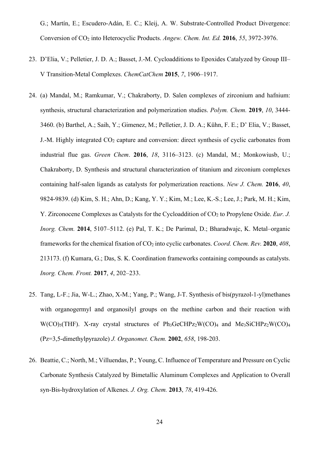G.; Martín, E.; Escudero-Adán, E. C.; Kleij, A. W. Substrate-Controlled Product Divergence: Conversion of CO2 into Heterocyclic Products. *Angew. Chem. Int. Ed.* **2016**, *55*, 3972-3976.

- 23. D'Elia, V.; Pelletier, J. D. A.; Basset, J.-M. Cycloadditions to Epoxides Catalyzed by Group III– V Transition‐Metal Complexes. *ChemCatChem* **2015**, *7*, 1906–1917.
- 24. (a) Mandal, M.; Ramkumar, V.; Chakraborty, D. Salen complexes of zirconium and hafnium: synthesis, structural characterization and polymerization studies. *Polym. Chem.* **2019**, *10*, 3444- 3460. (b) Barthel, A.; Saih, Y.; Gimenez, M.; Pelletier, J. D. A.; Kühn, F. E.; D' Elia, V.; Basset, J.-M. Highly integrated  $CO<sub>2</sub>$  capture and conversion: direct synthesis of cyclic carbonates from industrial flue gas. *Green Chem*. **2016**, *18*, 3116–3123. (c) Mandal, M.; Monkowiusb, U.; Chakraborty, D. Synthesis and structural characterization of titanium and zirconium complexes containing half-salen ligands as catalysts for polymerization reactions. *New J. Chem.* **2016**, *40*, 9824-9839. (d) Kim, S. H.; Ahn, D.; Kang, Y. Y.; Kim, M.; Lee, K.-S.; Lee, J.; Park, M. H.; Kim, Y. Zirconocene Complexes as Catalysts for the Cycloaddition of CO<sub>2</sub> to Propylene Oxide. *Eur. J. Inorg. Chem.* **2014**, 5107–5112. (e) Pal, T. K.; De Parimal, D.; Bharadwajc, K. Metal–organic frameworks for the chemical fixation of CO2 into cyclic carbonates. *Coord. Chem. Rev.* **2020**, *408*, 213173. (f) Kumara, G.; Das, S. K. Coordination frameworks containing compounds as catalysts. *Inorg. Chem. Front.* **2017**, *4*, 202–233.
- 25. Tang, L-F.; Jia, W-L.; Zhao, X-M.; Yang, P.; Wang, J-T. Synthesis of bis(pyrazol-1-yl)methanes with organogermyl and organosilyl groups on the methine carbon and their reaction with  $W(CO)_{5}$ (THF). X-ray crystal structures of Ph<sub>3</sub>GeCHPz<sub>2</sub>W(CO)<sub>4</sub> and Me<sub>3</sub>SiCHPz<sub>2</sub>W(CO)<sub>4</sub> (Pz=3,5-dimethylpyrazole) *J. Organomet. Chem.* **2002**, *658*, 198-203.
- 26. Beattie, C.; North, M.; Villuendas, P.; Young, C. Influence of Temperature and Pressure on Cyclic Carbonate Synthesis Catalyzed by Bimetallic Aluminum Complexes and Application to Overall syn-Bis-hydroxylation of Alkenes. *J. Org. Chem.* **2013**, *78*, 419-426.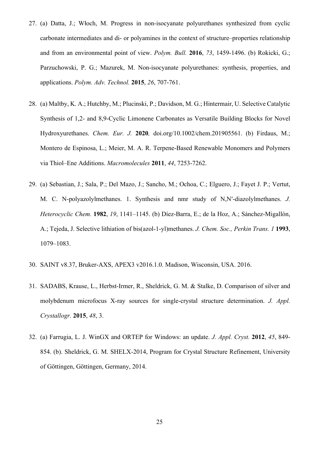- 27. (a) Datta, J.; Włoch, M. Progress in non-isocyanate polyurethanes synthesized from cyclic carbonate intermediates and di- or polyamines in the context of structure–properties relationship and from an environmental point of view. *Polym. Bull.* **2016**, *73*, 1459-1496. (b) Rokicki, G.; Parzuchowski, P. G.; Mazurek, M. Non‐isocyanate polyurethanes: synthesis, properties, and applications. *Polym. Adv. Technol.* **2015**, *26*, 707-761.
- 28. (a) Maltby, K. A.; Hutchby, M.; Plucinski, P.; Davidson, M. G.; Hintermair, U. Selective Catalytic Synthesis of 1,2‐ and 8,9‐Cyclic Limonene Carbonates as Versatile Building Blocks for Novel Hydroxyurethanes. *Chem. Eur. J.* **2020***,* doi.org/10.1002/chem.201905561. (b) Firdaus, M.; Montero de Espinosa, L.; Meier, M. A. R. Terpene-Based Renewable Monomers and Polymers via Thiol–Ene Additions. *Macromolecules* **2011**, *44*, 7253-7262.
- 29. (a) Sebastian, J.; Sala, P.; Del Mazo, J.; Sancho, M.; Ochoa, C.; Elguero, J.; Fayet J. P.; Vertut, M. C. N‐polyazolylmethanes. 1. Synthesis and nmr study of N,N′‐diazolylmethanes. *J. Heterocyclic Chem.* **1982**, *19*, 1141–1145. (b) Díez-Barra, E.; de la Hoz, A.; Sánchez-Migallón, A.; Tejeda, J. Selective lithiation of bis(azol-1-yl)methanes. *J. Chem. Soc., Perkin Trans. 1* **1993**, 1079–1083.
- 30. SAINT v8.37, Bruker-AXS, APEX3 v2016.1.0. Madison, Wisconsin, USA. 2016.
- 31. SADABS, Krause, L., Herbst-Irmer, R., Sheldrick, G. M. & Stalke, D. Comparison of silver and molybdenum microfocus X-ray sources for single-crystal structure determination. *J. Appl. Crystallogr.* **2015**, *48*, 3.
- 32. (a) Farrugia, L. J. WinGX and ORTEP for Windows: an update. *J. Appl. Cryst.* **2012**, *45*, 849- 854. (b). Sheldrick, G. M. SHELX-2014, Program for Crystal Structure Refinement, University of Göttingen, Göttingen, Germany, 2014.